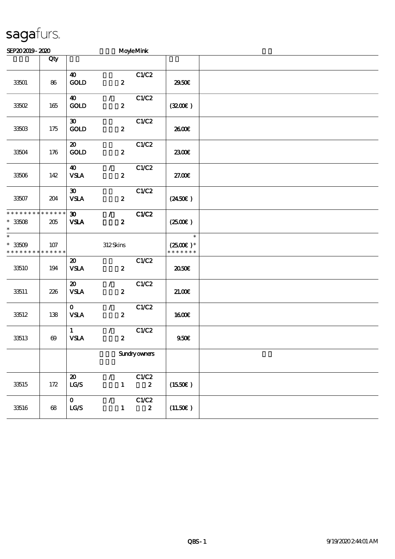## sagafurs.

| SEP202019-2020                                                                   |                |                                                         |                                              | <b>MoyleMink</b>          |                                                 |  |
|----------------------------------------------------------------------------------|----------------|---------------------------------------------------------|----------------------------------------------|---------------------------|-------------------------------------------------|--|
|                                                                                  | Qty            |                                                         |                                              |                           |                                                 |  |
| 33501                                                                            | 86             | $\boldsymbol{\omega}$<br>$\mathop{\rm GOD}$             | $\boldsymbol{z}$                             | C1/C2                     | 2950E                                           |  |
| 33502                                                                            | 165            | $\boldsymbol{\omega}$<br>GOD                            | $\mathcal{F}$<br>$\boldsymbol{z}$            | C1/C2                     | (3200)                                          |  |
| 33503                                                                            | 175            | $\boldsymbol{\mathfrak{D}}$<br>GOLD                     | $\boldsymbol{z}$                             | C1/C2                     | 2600E                                           |  |
| 33504                                                                            | 176            | $\boldsymbol{\mathfrak{D}}$<br>GOLD                     | $\boldsymbol{z}$                             | C1/C2                     | 2300E                                           |  |
| 33506                                                                            | 142            | $\boldsymbol{\omega}$<br><b>VSLA</b>                    | $\mathcal{T}_\mathbb{C}$<br>$\boldsymbol{z}$ | C1/C2                     | 27.00€                                          |  |
| 33507                                                                            | 204            | $\boldsymbol{\mathfrak{D}}$<br><b>VSLA</b>              | $\boldsymbol{z}$                             | C1/C2                     | $(2450\epsilon)$                                |  |
| * * * * * * * * * * * * * *<br>$^\ast$ 33508<br>$\ast$                           | 205            | $\boldsymbol{\mathfrak{D}}$<br><b>VSLA</b>              | $\mathcal{L}$<br>$\boldsymbol{z}$            | C1/C2                     | $(2500\varepsilon)$                             |  |
| $\overline{\ast}$<br>$^\ast$ 33509<br>* * * * * * * * <mark>* * * * * * *</mark> | 107            |                                                         | 312Skins                                     |                           | $\ast$<br>$(2500\varepsilon)*$<br>* * * * * * * |  |
| 33510                                                                            | 194            | $\boldsymbol{\mathfrak{D}}$<br><b>VSLA</b>              | $\boldsymbol{z}$                             | C1/C2                     | ææ                                              |  |
| 33511                                                                            | 226            | $\boldsymbol{\mathfrak{D}}$<br><b>VSLA</b>              | $\mathcal{L}$<br>$\boldsymbol{z}$            | C1/C2                     | 21.00E                                          |  |
| 33512                                                                            | 138            | $\mathbf{0}$<br><b>VSLA</b>                             | $\mathcal{T}$<br>$\boldsymbol{z}$            | C1/C2                     | 1600E                                           |  |
| 33513                                                                            | $\pmb{\infty}$ | $\mathbf{1}$<br><b>VSLA</b>                             | $\mathcal{L}$<br>$\boldsymbol{z}$            | C1/C2                     | 950E                                            |  |
|                                                                                  |                |                                                         |                                              | <b>Sundryowners</b>       |                                                 |  |
| 33515                                                                            | 172            | $\boldsymbol{\mathfrak{D}}$<br>$\mathtt{LG}\mathcal{S}$ | $\mathcal{L}$<br>$\mathbf{1}$                | C1/C2<br>$\boldsymbol{z}$ | (1550E)                                         |  |
| 33516                                                                            | 68             | $\mathbf{O}$<br>$\mathbf{L}\mathbf{C} \mathbf{S}$       | $\mathcal{L}$<br>$\mathbf{1}$                | C1/C2<br>$\boldsymbol{z}$ | (11.50)                                         |  |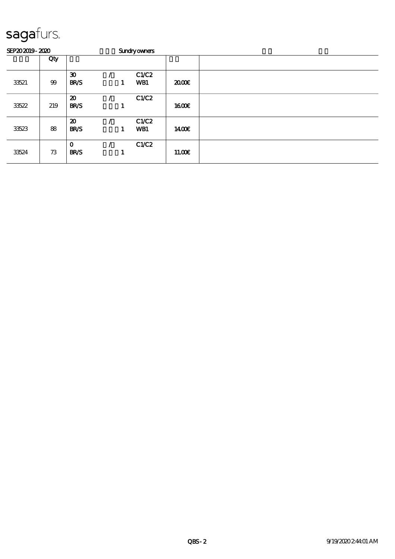## sagafurs.

| SEP202019-2020 |     |                                            | <b>Sundryowners</b> |   |                     |        |  |
|----------------|-----|--------------------------------------------|---------------------|---|---------------------|--------|--|
|                | Qty |                                            |                     |   |                     |        |  |
| 33521          | 99  | $\boldsymbol{\mathfrak{D}}$<br><b>BR/S</b> |                     | 1 | C1/C2<br>WB1        | 2000   |  |
| 33522          | 219 | $\boldsymbol{\mathfrak{D}}$<br><b>BR/S</b> |                     | п | C1/C2               | 1600E  |  |
| 33523          | 88  | $\boldsymbol{\mathfrak{D}}$<br><b>BR/S</b> |                     | 1 | C1/C2<br><b>WB1</b> | 1400E  |  |
| 33524          | 73  | $\mathbf 0$<br><b>BR/S</b>                 |                     |   | C1/C2               | 11.00E |  |